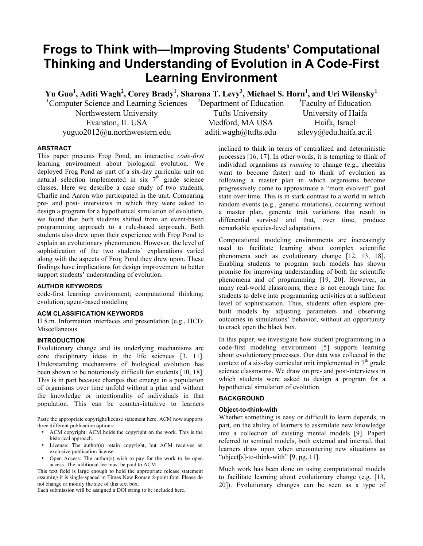# **Frogs to Think with—Improving Students' Computational Thinking and Understanding of Evolution in A Code-First Learning Environment**

**Yu Guo1 , Aditi Wagh<sup>2</sup> , Corey Brady<sup>1</sup> , Sharona T. Levy<sup>3</sup> , Michael S. Horn<sup>1</sup> , and Uri Wilensky1**

<sup>1</sup>Computer Science and Learning Sciences <sup>2</sup>Department of Education Northwestern University Evanston, IL USA yuguo2012@u.northwestern.edu

Tufts University Medford, MA USA aditi.wagh@tufts.edu

<sup>3</sup>Faculty of Education University of Haifa Haifa, Israel stlevy@edu.haifa.ac.il

## **ABSTRACT**

This paper presents Frog Pond, an interactive *code-first*  learning environment about biological evolution. We deployed Frog Pond as part of a six-day curricular unit on natural selection implemented in six  $7<sup>th</sup>$  grade science classes. Here we describe a case study of two students, Charlie and Aaron who participated in the unit. Comparing pre- and post- interviews in which they were asked to design a program for a hypothetical simulation of evolution, we found that both students shifted from an event-based programming approach to a rule-based approach. Both students also drew upon their experience with Frog Pond to explain an evolutionary phenomenon. However, the level of sophistication of the two students' explanations varied along with the aspects of Frog Pond they drew upon. These findings have implications for design improvement to better support students' understanding of evolution.

## **AUTHOR KEYWORDS**

code-first learning environment; computational thinking; evolution; agent-based modeling

# **ACM CLASSIFICATION KEYWORDS**

H.5.m. Information interfaces and presentation (e.g., HCI): Miscellaneous

## **INTRODUCTION**

Evolutionary change and its underlying mechanisms are core disciplinary ideas in the life sciences [3, 11]. Understanding mechanisms of biological evolution has been shown to be notoriously difficult for students [10, 18]. This is in part because changes that emerge in a population of organisms over time unfold without a plan and without the knowledge or intentionality of individuals in that population. This can be counter-intuitive to learners

Paste the appropriate copyright/license statement here. ACM now supports three different publication options:

- ACM copyright: ACM holds the copyright on the work. This is the historical approach.
- License: The author(s) retain copyright, but ACM receives an exclusive publication license.
- Open Access: The author(s) wish to pay for the work to be open access. The additional fee must be paid to ACM.

This text field is large enough to hold the appropriate release statement assuming it is single-spaced in Times New Roman 8-point font. Please do not change or modify the size of this text box.

Each submission will be assigned a DOI string to be included here.

inclined to think in terms of centralized and deterministic processes [16, 17]. In other words, it is tempting to think of individual organisms as *wanting* to change (e.g., cheetahs want to become faster) and to think of evolution as following a master plan in which organisms become progressively come to approximate a "more evolved" goal state over time. This is in stark contrast to a world in which random events (e.g., genetic mutations), occurring without a master plan, generate trait variations that result in differential survival and that, over time, produce remarkable species-level adaptations.

Computational modeling environments are increasingly used to facilitate learning about complex scientific phenomena such as evolutionary change [12, 13, 18]. Enabling students to program such models has shown promise for improving understanding of both the scientific phenomena and of programming [19, 20]. However, in many real-world classrooms, there is not enough time for students to delve into programming activities at a sufficient level of sophistication. Thus, students often explore prebuilt models by adjusting parameters and observing outcomes in simulations' behavior, without an opportunity to crack open the black box.

In this paper, we investigate how student programming in a code-first modeling environment [5] supports learning about evolutionary processes. Our data was collected in the context of a six-day curricular unit implemented in  $7<sup>th</sup>$  grade science classrooms. We draw on pre- and post-interviews in which students were asked to design a program for a hypothetical simulation of evolution.

# **BACKGROUND**

## **Object-to-think-with**

Whether something is easy or difficult to learn depends, in part, on the ability of learners to assimilate new knowledge into a collection of existing mental models [9]. Papert referred to seminal models, both external and internal, that learners draw upon when encountering new situations as "object[s]-to-think-with" [9, pg. 11].

Much work has been done on using computational models to facilitate learning about evolutionary change (e.g. [13, 20]). Evolutionary changes can be seen as a type of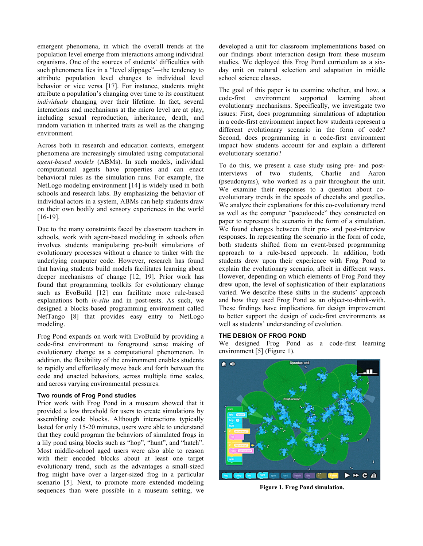emergent phenomena, in which the overall trends at the population level emerge from interactions among individual organisms. One of the sources of students' difficulties with such phenomena lies in a "level slippage"—the tendency to attribute population level changes to individual level behavior or vice versa [17]. For instance, students might attribute a population's changing over time to its constituent *individuals* changing over their lifetime. In fact, several interactions and mechanisms at the micro level are at play, including sexual reproduction, inheritance, death, and random variation in inherited traits as well as the changing environment.

Across both in research and education contexts, emergent phenomena are increasingly simulated using computational *agent-based models* (ABMs). In such models, individual computational agents have properties and can enact behavioral rules as the simulation runs. For example, the NetLogo modeling environment [14] is widely used in both schools and research labs. By emphasizing the behavior of individual actors in a system, ABMs can help students draw on their own bodily and sensory experiences in the world [16-19].

Due to the many constraints faced by classroom teachers in schools, work with agent-based modeling in schools often involves students manipulating pre-built simulations of evolutionary processes without a chance to tinker with the underlying computer code. However, research has found that having students build models facilitates learning about deeper mechanisms of change [12, 19]. Prior work has found that programming toolkits for evolutionary change such as EvoBuild [12] can facilitate more rule-based explanations both *in-situ* and in post-tests. As such, we designed a blocks-based programming environment called NetTango [8] that provides easy entry to NetLogo modeling.

Frog Pond expands on work with EvoBuild by providing a code-first environment to foreground sense making of evolutionary change as a computational phenomenon. In addition, the flexibility of the environment enables students to rapidly and effortlessly move back and forth between the code and enacted behaviors, across multiple time scales, and across varying environmental pressures.

#### **Two rounds of Frog Pond studies**

Prior work with Frog Pond in a museum showed that it provided a low threshold for users to create simulations by assembling code blocks. Although interactions typically lasted for only 15-20 minutes, users were able to understand that they could program the behaviors of simulated frogs in a lily pond using blocks such as "hop", "hunt", and "hatch". Most middle-school aged users were also able to reason with their encoded blocks about at least one target evolutionary trend, such as the advantages a small-sized frog might have over a larger-sized frog in a particular scenario [5]. Next, to promote more extended modeling sequences than were possible in a museum setting, we developed a unit for classroom implementations based on our findings about interaction design from these museum studies. We deployed this Frog Pond curriculum as a sixday unit on natural selection and adaptation in middle school science classes.

The goal of this paper is to examine whether, and how, a code-first environment supported learning about evolutionary mechanisms. Specifically, we investigate two issues: First, does programming simulations of adaptation in a code-first environment impact how students represent a different evolutionary scenario in the form of code? Second, does programming in a code-first environment impact how students account for and explain a different evolutionary scenario?

To do this, we present a case study using pre- and postinterviews of two students, Charlie and Aaron (pseudonyms), who worked as a pair throughout the unit. We examine their responses to a question about coevolutionary trends in the speeds of cheetahs and gazelles. We analyze their explanations for this co-evolutionary trend as well as the computer "pseudocode" they constructed on paper to represent the scenario in the form of a simulation. We found changes between their pre- and post-interview responses. In representing the scenario in the form of code, both students shifted from an event-based programming approach to a rule-based approach. In addition, both students drew upon their experience with Frog Pond to explain the evolutionary scenario, albeit in different ways. However, depending on which elements of Frog Pond they drew upon, the level of sophistication of their explanations varied. We describe these shifts in the students' approach and how they used Frog Pond as an object-to-think-with. These findings have implications for design improvement to better support the design of code-first environments as well as students' understanding of evolution.

## **THE DESIGN OF FROG POND**

We designed Frog Pond as a code-first learning environment [5] (Figure 1).



**Figure 1. Frog Pond simulation.**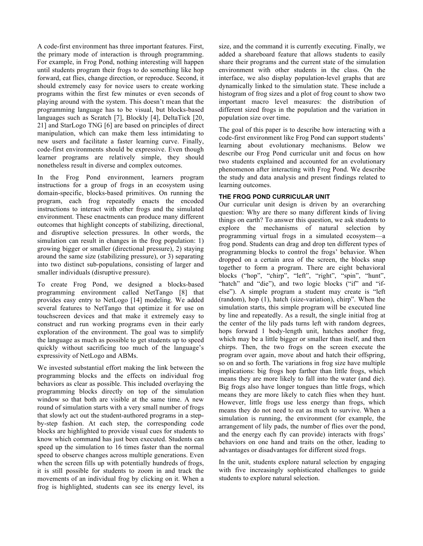A code-first environment has three important features. First, the primary mode of interaction is through programming. For example, in Frog Pond, nothing interesting will happen until students program their frogs to do something like hop forward, eat flies, change direction, or reproduce. Second, it should extremely easy for novice users to create working programs within the first few minutes or even seconds of playing around with the system. This doesn't mean that the programming language has to be visual, but blocks-based languages such as Scratch [7], Blockly [4], DeltaTick [20, 21] and StarLogo TNG [6] are based on principles of direct manipulation, which can make them less intimidating to new users and facilitate a faster learning curve. Finally, code-first environments should be expressive. Even though learner programs are relatively simple, they should nonetheless result in diverse and complex outcomes.

In the Frog Pond environment, learners program instructions for a group of frogs in an ecosystem using domain-specific, blocks-based primitives. On running the program, each frog repeatedly enacts the encoded instructions to interact with other frogs and the simulated environment. These enactments can produce many different outcomes that highlight concepts of stabilizing, directional, and disruptive selection pressures. In other words, the simulation can result in changes in the frog population: 1) growing bigger or smaller (directional pressure), 2) staying around the same size (stabilizing pressure), or 3) separating into two distinct sub-populations, consisting of larger and smaller individuals (disruptive pressure).

To create Frog Pond, we designed a blocks-based programming environment called NetTango [8] that provides easy entry to NetLogo [14] modeling. We added several features to NetTango that optimize it for use on touchscreen devices and that make it extremely easy to construct and run working programs even in their early exploration of the environment. The goal was to simplify the language as much as possible to get students up to speed quickly without sacrificing too much of the language's expressivity of NetLogo and ABMs.

We invested substantial effort making the link between the programming blocks and the effects on individual frog behaviors as clear as possible. This included overlaying the programming blocks directly on top of the simulation window so that both are visible at the same time. A new round of simulation starts with a very small number of frogs that slowly act out the student-authored programs in a stepby-step fashion. At each step, the corresponding code blocks are highlighted to provide visual cues for students to know which command has just been executed. Students can speed up the simulation to 16 times faster than the normal speed to observe changes across multiple generations. Even when the screen fills up with potentially hundreds of frogs, it is still possible for students to zoom in and track the movements of an individual frog by clicking on it. When a frog is highlighted, students can see its energy level, its

size, and the command it is currently executing. Finally, we added a shareboard feature that allows students to easily share their programs and the current state of the simulation environment with other students in the class. On the interface, we also display population-level graphs that are dynamically linked to the simulation state. These include a histogram of frog sizes and a plot of frog count to show two important macro level measures: the distribution of different sized frogs in the population and the variation in population size over time.

The goal of this paper is to describe how interacting with a code-first environment like Frog Pond can support students' learning about evolutionary mechanisms. Below we describe our Frog Pond curricular unit and focus on how two students explained and accounted for an evolutionary phenomenon after interacting with Frog Pond. We describe the study and data analysis and present findings related to learning outcomes.

## **THE FROG POND CURRICULAR UNIT**

Our curricular unit design is driven by an overarching question: Why are there so many different kinds of living things on earth? To answer this question, we ask students to explore the mechanisms of natural selection by programming virtual frogs in a simulated ecosystem—a frog pond. Students can drag and drop ten different types of programming blocks to control the frogs' behavior. When dropped on a certain area of the screen, the blocks snap together to form a program. There are eight behavioral blocks ("hop", "chirp", "left", "right", "spin", "hunt", "hatch" and "die"), and two logic blocks ("if" and "ifelse"). A simple program a student may create is "left (random), hop (1), hatch (size-variation), chirp". When the simulation starts, this simple program will be executed line by line and repeatedly. As a result, the single initial frog at the center of the lily pads turns left with random degrees, hops forward 1 body-length unit, hatches another frog, which may be a little bigger or smaller than itself, and then chirps. Then, the two frogs on the screen execute the program over again, move about and hatch their offspring, so on and so forth. The variations in frog size have multiple implications: big frogs hop farther than little frogs, which means they are more likely to fall into the water (and die). Big frogs also have longer tongues than little frogs, which means they are more likely to catch flies when they hunt. However, little frogs use less energy than frogs, which means they do not need to eat as much to survive. When a simulation is running, the environment (for example, the arrangement of lily pads, the number of flies over the pond, and the energy each fly can provide) interacts with frogs' behaviors on one hand and traits on the other, leading to advantages or disadvantages for different sized frogs.

In the unit, students explore natural selection by engaging with five increasingly sophisticated challenges to guide students to explore natural selection.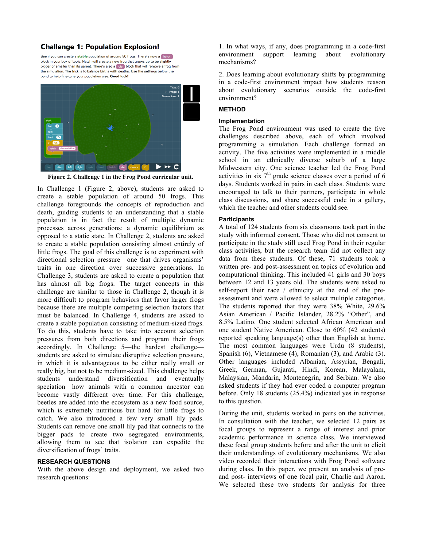# **Challenge 1: Population Explosion!**

See if you can create a stable population of around 50 frogs. There's now a hatch block in your box of tools. Hatch will create a new frog that grows up to be slightly bigger or smaller than its parent. There's also a die block that will remove a frog from the simulation. The trick is to balance births with deaths. Use the settings below the pond to help fine-tune your population size. Good luck!



**Figure 2. Challenge 1 in the Frog Pond curricular unit.**

In Challenge 1 (Figure 2, above), students are asked to create a stable population of around 50 frogs. This challenge foregrounds the concepts of reproduction and death, guiding students to an understanding that a stable population is in fact the result of multiple dynamic processes across generations: a dynamic equilibrium as opposed to a static state. In Challenge 2, students are asked to create a stable population consisting almost entirely of little frogs. The goal of this challenge is to experiment with directional selection pressure—one that drives organisms' traits in one direction over successive generations. In Challenge 3, students are asked to create a population that has almost all big frogs. The target concepts in this challenge are similar to those in Challenge 2, though it is more difficult to program behaviors that favor larger frogs because there are multiple competing selection factors that must be balanced. In Challenge 4, students are asked to create a stable population consisting of medium-sized frogs. To do this, students have to take into account selection pressures from both directions and program their frogs accordingly. In Challenge 5—the hardest challenge students are asked to simulate disruptive selection pressure, in which it is advantageous to be either really small or really big, but not to be medium-sized. This challenge helps students understand diversification and eventually speciation—how animals with a common ancestor can become vastly different over time. For this challenge, beetles are added into the ecosystem as a new food source, which is extremely nutritious but hard for little frogs to catch. We also introduced a few very small lily pads. Students can remove one small lily pad that connects to the bigger pads to create two segregated environments, allowing them to see that isolation can expedite the diversification of frogs' traits.

#### **RESEARCH QUESTIONS**

With the above design and deployment, we asked two research questions:

1. In what ways, if any, does programming in a code-first environment support learning about evolutionary mechanisms?

2. Does learning about evolutionary shifts by programming in a code-first environment impact how students reason about evolutionary scenarios outside the code-first environment?

# **METHOD**

# **Implementation**

The Frog Pond environment was used to create the five challenges described above, each of which involved programming a simulation. Each challenge formed an activity. The five activities were implemented in a middle school in an ethnically diverse suburb of a large Midwestern city. One science teacher led the Frog Pond activities in six  $7<sup>th</sup>$  grade science classes over a period of 6 days. Students worked in pairs in each class. Students were encouraged to talk to their partners, participate in whole class discussions, and share successful code in a gallery, which the teacher and other students could see.

## **Participants**

A total of 124 students from six classrooms took part in the study with informed consent. Those who did not consent to participate in the study still used Frog Pond in their regular class activities, but the research team did not collect any data from these students. Of these, 71 students took a written pre- and post-assessment on topics of evolution and computational thinking. This included 41 girls and 30 boys between 12 and 13 years old. The students were asked to self-report their race / ethnicity at the end of the preassessment and were allowed to select multiple categories. The students reported that they were 38% White, 29.6% Asian American / Pacific Islander, 28.2% "Other", and 8.5% Latino. One student selected African American and one student Native American. Close to 60% (42 students) reported speaking language(s) other than English at home. The most common languages were Urdu (8 students), Spanish (6), Vietnamese (4), Romanian (3), and Arabic (3). Other languages included Albanian, Assyrian, Bengali, Greek, German, Gujarati, Hindi, Korean, Malayalam, Malaysian, Mandarin, Montenegrin, and Serbian. We also asked students if they had ever coded a computer program before. Only 18 students (25.4%) indicated yes in response to this question.

During the unit, students worked in pairs on the activities. In consultation with the teacher, we selected 12 pairs as focal groups to represent a range of interest and prior academic performance in science class. We interviewed these focal group students before and after the unit to elicit their understandings of evolutionary mechanisms. We also video recorded their interactions with Frog Pond software during class. In this paper, we present an analysis of preand post- interviews of one focal pair, Charlie and Aaron. We selected these two students for analysis for three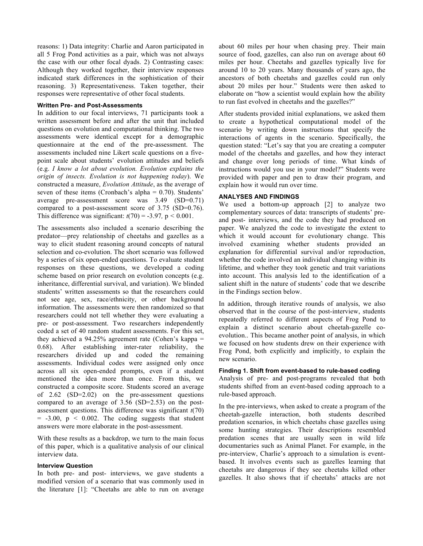reasons: 1) Data integrity: Charlie and Aaron participated in all 5 Frog Pond activities as a pair, which was not always the case with our other focal dyads. 2) Contrasting cases: Although they worked together, their interview responses indicated stark differences in the sophistication of their reasoning. 3) Representativeness. Taken together, their responses were representative of other focal students.

#### **Written Pre- and Post-Assessments**

In addition to our focal interviews, 71 participants took a written assessment before and after the unit that included questions on evolution and computational thinking. The two assessments were identical except for a demographic questionnaire at the end of the pre-assessment. The assessments included nine Likert scale questions on a fivepoint scale about students' evolution attitudes and beliefs (e.g. *I know a lot about evolution. Evolution explains the origin of insects. Evolution is not happening today*). We constructed a measure, *Evolution Attitude*, as the average of seven of these items (Cronbach's alpha = 0.70). Students' average pre-assessment score was 3.49 (SD=0.71) compared to a post-assessment score of 3.75 (SD=0.76). This difference was significant:  $t(70) = -3.97$ ,  $p < 0.001$ .

The assessments also included a scenario describing the predator—prey relationship of cheetahs and gazelles as a way to elicit student reasoning around concepts of natural selection and co-evolution. The short scenario was followed by a series of six open-ended questions. To evaluate student responses on these questions, we developed a coding scheme based on prior research on evolution concepts (e.g. inheritance, differential survival, and variation). We blinded students' written assessments so that the researchers could not see age, sex, race/ethnicity, or other background information. The assessments were then randomized so that researchers could not tell whether they were evaluating a pre- or post-assessment. Two researchers independently coded a set of 40 random student assessments. For this set, they achieved a 94.25% agreement rate (Cohen's kappa = 0.68). After establishing inter-rater reliability, the researchers divided up and coded the remaining assessments. Individual codes were assigned only once across all six open-ended prompts, even if a student mentioned the idea more than once. From this, we constructed a composite score. Students scored an average of  $2.62$  (SD= $2.02$ ) on the pre-assessment questions compared to an average of 3.56 (SD=2.53) on the postassessment questions. This difference was significant *t*(70)  $= -3.00$ ,  $p < 0.002$ . The coding suggests that student answers were more elaborate in the post-assessment.

With these results as a backdrop, we turn to the main focus of this paper, which is a qualitative analysis of our clinical interview data.

## **Interview Question**

In both pre- and post- interviews, we gave students a modified version of a scenario that was commonly used in the literature [1]: "Cheetahs are able to run on average

about 60 miles per hour when chasing prey. Their main source of food, gazelles, can also run on average about 60 miles per hour. Cheetahs and gazelles typically live for around 10 to 20 years. Many thousands of years ago, the ancestors of both cheetahs and gazelles could run only about 20 miles per hour." Students were then asked to elaborate on "how a scientist would explain how the ability to run fast evolved in cheetahs and the gazelles?"

After students provided initial explanations, we asked them to create a hypothetical computational model of the scenario by writing down instructions that specify the interactions of agents in the scenario. Specifically, the question stated: "Let's say that you are creating a computer model of the cheetahs and gazelles, and how they interact and change over long periods of time. What kinds of instructions would you use in your model?" Students were provided with paper and pen to draw their program, and explain how it would run over time.

## **ANALYSES AND FINDINGS**

We used a bottom-up approach [2] to analyze two complementary sources of data: transcripts of students' preand post- interviews, and the code they had produced on paper. We analyzed the code to investigate the extent to which it would account for evolutionary change. This involved examining whether students provided an explanation for differential survival and/or reproduction, whether the code involved an individual changing within its lifetime, and whether they took genetic and trait variations into account. This analysis led to the identification of a salient shift in the nature of students' code that we describe in the Findings section below.

In addition, through iterative rounds of analysis, we also observed that in the course of the post-interview, students repeatedly referred to different aspects of Frog Pond to explain a distinct scenario about cheetah-gazelle coevolution.. This became another point of analysis, in which we focused on how students drew on their experience with Frog Pond, both explicitly and implicitly, to explain the new scenario.

## **Finding 1. Shift from event-based to rule-based coding**

Analysis of pre- and post-programs revealed that both students shifted from an event-based coding approach to a rule-based approach.

In the pre-interviews, when asked to create a program of the cheetah-gazelle interaction, both students described predation scenarios, in which cheetahs chase gazelles using some hunting strategies. Their descriptions resembled predation scenes that are usually seen in wild life documentaries such as Animal Planet. For example, in the pre-interview, Charlie's approach to a simulation is eventbased. It involves events such as gazelles learning that cheetahs are dangerous if they see cheetahs killed other gazelles. It also shows that if cheetahs' attacks are not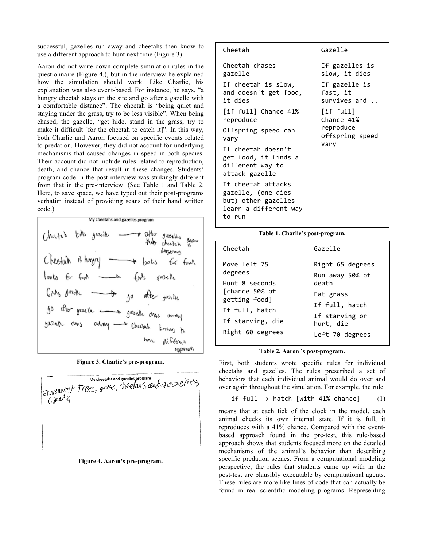successful, gazelles run away and cheetahs then know to use a different approach to hunt next time (Figure 3).

Aaron did not write down complete simulation rules in the questionnaire (Figure 4.), but in the interview he explained how the simulation should work. Like Charlie, his explanation was also event-based. For instance, he says, "a hungry cheetah stays on the site and go after a gazelle with a comfortable distance". The cheetah is "being quiet and staying under the grass, try to be less visible". When being chased, the gazelle, "get hide, stand in the grass, try to make it difficult [for the cheetah to catch it]". In this way, both Charlie and Aaron focused on specific events related to predation. However, they did not account for underlying mechanisms that caused changes in speed in both species. Their account did not include rules related to reproduction, death, and chance that result in these changes. Students' program code in the post interview was strikingly different from that in the pre-interview. (See Table 1 and Table 2. Here, to save space, we have typed out their post-programs verbatim instead of providing scans of their hand written code.)

My cheetahs and gazelles program that cheetah dangoon ocs n <del>o</del> jo after guzzlic<br>gazelle - gazelle cuas avron - Chieful aWay -

**Figure 3. Charlie's pre-program.**

|  | my uneerans and gazelles program<br>Environment: Trees, grass, cheeran's and gosselles, |  |
|--|-----------------------------------------------------------------------------------------|--|
|  |                                                                                         |  |
|  |                                                                                         |  |



| Cheetah                                                                                                                                              | Gazelle                                                                         |
|------------------------------------------------------------------------------------------------------------------------------------------------------|---------------------------------------------------------------------------------|
| Cheetah chases<br>gazelle                                                                                                                            | If gazelles is<br>slow, it dies                                                 |
| If cheetah is slow,<br>and doesn't get food,<br>it dies                                                                                              | If gazelle is<br>fast, it<br>survives and                                       |
| [if full] Chance 41%<br>reproduce<br>Offspring speed can<br>vary<br>If cheetah doesn't<br>get food, it finds a<br>different way to<br>attack gazelle | $\lceil$ if full $\rceil$<br>Chance 41%<br>reproduce<br>offspring speed<br>vary |
| If cheetah attacks<br>gazelle, (one dies<br>but) other gazelles<br>learn a different way<br>to run                                                   |                                                                                 |

**Table 1. Charlie's post-program.**

| Cheetah                                                                                                                               | Gazelle                                                                                                                       |
|---------------------------------------------------------------------------------------------------------------------------------------|-------------------------------------------------------------------------------------------------------------------------------|
| Move left 75<br>degrees<br>Hunt 8 seconds<br>chance 50% of<br>getting food]<br>If full, hatch<br>If starving, die<br>Right 60 degrees | Right 65 degrees<br>Run away 50% of<br>death<br>Eat grass<br>If full, hatch<br>If starving or<br>hurt, die<br>Left 70 degrees |

#### **Table 2. Aaron 's post-program.**

First, both students wrote specific rules for individual cheetahs and gazelles. The rules prescribed a set of behaviors that each individual animal would do over and over again throughout the simulation. For example, the rule

if full  $\rightarrow$  hatch [with 41% chance] (1)

means that at each tick of the clock in the model, each animal checks its own internal state. If it is full, it reproduces with a 41% chance. Compared with the eventbased approach found in the pre-test, this rule-based approach shows that students focused more on the detailed mechanisms of the animal's behavior than describing specific predation scenes. From a computational modeling perspective, the rules that students came up with in the post-test are plausibly executable by computational agents. These rules are more like lines of code that can actually be found in real scientific modeling programs. Representing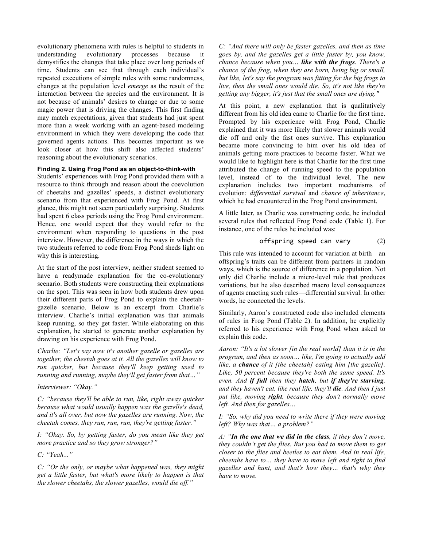evolutionary phenomena with rules is helpful to students in understanding evolutionary processes because it demystifies the changes that take place over long periods of time. Students can see that through each individual's repeated executions of simple rules with some randomness, changes at the population level *emerge* as the result of the interaction between the species and the environment. It is not because of animals' desires to change or due to some magic power that is driving the changes. This first finding may match expectations, given that students had just spent more than a week working with an agent-based modeling environment in which they were developing the code that governed agents actions. This becomes important as we look closer at how this shift also affected students' reasoning about the evolutionary scenarios.

# **Finding 2. Using Frog Pond as an object-to-think-with**

Students' experiences with Frog Pond provided them with a resource to think through and reason about the coevolution of cheetahs and gazelles' speeds, a distinct evolutionary scenario from that experienced with Frog Pond. At first glance, this might not seem particularly surprising. Students had spent 6 class periods using the Frog Pond environment. Hence, one would expect that they would refer to the environment when responding to questions in the post interview. However, the difference in the ways in which the two students referred to code from Frog Pond sheds light on why this is interesting.

At the start of the post interview, neither student seemed to have a readymade explanation for the co-evolutionary scenario. Both students were constructing their explanations on the spot. This was seen in how both students drew upon their different parts of Frog Pond to explain the cheetahgazelle scenario. Below is an excerpt from Charlie's interview. Charlie's initial explanation was that animals keep running, so they get faster. While elaborating on this explanation, he started to generate another explanation by drawing on his experience with Frog Pond.

*Charlie: "Let's say now it's another gazelle or gazelles are together, the cheetah goes at it. All the gazelles will know to run quicker, but because they'll keep getting used to running and running, maybe they'll get faster from that…"*

*Interviewer: "Okay."*

*C: "because they'll be able to run, like, right away quicker because what would usually happen was the gazelle's dead, and it's all over, but now the gazelles are running. Now, the cheetah comes, they run, run, run, they're getting faster."*

*I: "Okay. So, by getting faster, do you mean like they get more practice and so they grow stronger?"*

*C: "Yeah..."*

*C: "Or the only, or maybe what happened was, they might get a little faster, but what's more likely to happen is that the slower cheetahs, the slower gazelles, would die off."*

*C: "And there will only be faster gazelles, and then as time goes by, and the gazelles get a little faster by, you know, chance because when you… like with the frogs. There's a chance of the frog, when they are born, being big or small, but like, let's say the program was fitting for the big frogs to live, then the small ones would die. So, it's not like they're getting any bigger, it's just that the small ones are dying."*

At this point, a new explanation that is qualitatively different from his old idea came to Charlie for the first time. Prompted by his experience with Frog Pond, Charlie explained that it was more likely that slower animals would die off and only the fast ones survive. This explanation became more convincing to him over his old idea of animals getting more practices to become faster. What we would like to highlight here is that Charlie for the first time attributed the change of running speed to the population level, instead of to the individual level. The new explanation includes two important mechanisms of evolution: *differential survival* and *chance of inheritance*, which he had encountered in the Frog Pond environment.

A little later, as Charlie was constructing code, he included several rules that reflected Frog Pond code (Table 1). For instance, one of the rules he included was:

## offspring speed can vary  $(2)$

This rule was intended to account for variation at birth—an offspring's traits can be different from partners in random ways, which is the source of difference in a population. Not only did Charlie include a micro-level rule that produces variations, but he also described macro level consequences of agents enacting such rules—differential survival. In other words, he connected the levels.

Similarly, Aaron's constructed code also included elements of rules in Frog Pond (Table 2). In addition, he explicitly referred to his experience with Frog Pond when asked to explain this code.

*Aaron: "It's a lot slower [in the real world] than it is in the program, and then as soon… like, I'm going to actually add like, a chance of it [the cheetah] eating him [the gazelle]. Like, 50 percent because they're both the same speed. It's even. And if full then they hatch, but if they're starving, and they haven't eat, like real life, they'll die. And then I just put like, moving right, because they don't normally move left. And then for gazelles…*

*I: "So, why did you need to write there if they were moving left? Why was that… a problem?"*

*A: "In the one that we did in the class, if they don't move, they couldn't get the flies. But you had to move them to get closer to the flies and beetles to eat them. And in real life, cheetahs have to… they have to move left and right to find gazelles and hunt, and that's how they… that's why they have to move.*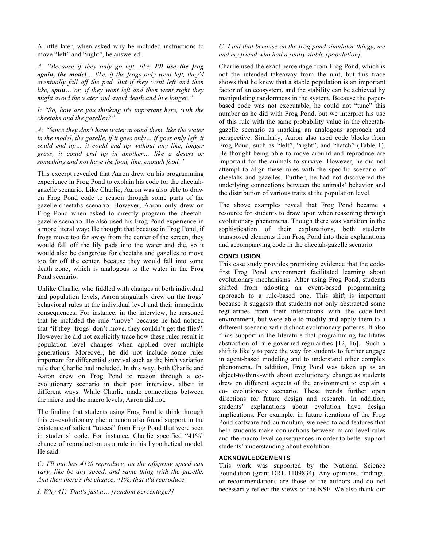A little later, when asked why he included instructions to move "left" and "right", he answered:

*A: "Because if they only go left, like, I'll use the frog again, the model… like, if the frogs only went left, they'd eventually fall off the pad. But if they went left and then like, spun… or, if they went left and then went right they might avoid the water and avoid death and live longer."*

*I: "So, how are you thinking it's important here, with the cheetahs and the gazelles?"*

*A: "Since they don't have water around them, like the water in the model, the gazelle, if it goes only… if goes only left, it could end up… it could end up without any like, longer grass, it could end up in another… like a desert or something and not have the food, like, enough food."*

This excerpt revealed that Aaron drew on his programming experience in Frog Pond to explain his code for the cheetahgazelle scenario. Like Charlie, Aaron was also able to draw on Frog Pond code to reason through some parts of the gazelle-cheetahs scenario. However, Aaron only drew on Frog Pond when asked to directly program the cheetahgazelle scenario. He also used his Frog Pond experience in a more literal way: He thought that because in Frog Pond, if frogs move too far away from the center of the screen, they would fall off the lily pads into the water and die, so it would also be dangerous for cheetahs and gazelles to move too far off the center, because they would fall into some death zone, which is analogous to the water in the Frog Pond scenario.

Unlike Charlie, who fiddled with changes at both individual and population levels, Aaron singularly drew on the frogs' behavioral rules at the individual level and their immediate consequences. For instance, in the interview, he reasoned that he included the rule "move" because he had noticed that "if they [frogs] don't move, they couldn't get the flies". However he did not explicitly trace how these rules result in population level changes when applied over multiple generations. Moreover, he did not include some rules important for differential survival such as the birth variation rule that Charlie had included. In this way, both Charlie and Aaron drew on Frog Pond to reason through a coevolutionary scenario in their post interview, albeit in different ways. While Charlie made connections between the micro and the macro levels, Aaron did not.

The finding that students using Frog Pond to think through this co-evolutionary phenomenon also found support in the existence of salient "traces" from Frog Pond that were seen in students' code. For instance, Charlie specified "41%" chance of reproduction as a rule in his hypothetical model. He said:

*C: I'll put has 41% reproduce, on the offspring speed can vary, like be any speed, and same thing with the gazelle. And then there's the chance, 41%, that it'd reproduce.*

*I: Why 41? That's just a… [random percentage?]*

## *C: I put that because on the frog pond simulator thingy, me and my friend who had a really stable [population].*

Charlie used the exact percentage from Frog Pond, which is not the intended takeaway from the unit, but this trace shows that he knew that a stable population is an important factor of an ecosystem, and the stability can be achieved by manipulating randomness in the system. Because the paperbased code was not executable, he could not "tune" this number as he did with Frog Pond, but we interpret his use of this rule with the same probability value in the cheetahgazelle scenario as marking an analogous approach and perspective. Similarly, Aaron also used code blocks from Frog Pond, such as "left", "right", and "hatch" (Table 1). He thought being able to move around and reproduce are important for the animals to survive. However, he did not attempt to align these rules with the specific scenario of cheetahs and gazelles. Further, he had not discovered the underlying connections between the animals' behavior and the distribution of various traits at the population level.

The above examples reveal that Frog Pond became a resource for students to draw upon when reasoning through evolutionary phenomena. Though there was variation in the sophistication of their explanations, both students transposed elements from Frog Pond into their explanations and accompanying code in the cheetah-gazelle scenario.

## **CONCLUSION**

This case study provides promising evidence that the codefirst Frog Pond environment facilitated learning about evolutionary mechanisms. After using Frog Pond, students shifted from adopting an event-based programming approach to a rule-based one. This shift is important because it suggests that students not only abstracted some regularities from their interactions with the code-first environment, but were able to modify and apply them to a different scenario with distinct evolutionary patterns. It also finds support in the literature that programming facilitates abstraction of rule-governed regularities [12, 16]. Such a shift is likely to pave the way for students to further engage in agent-based modeling and to understand other complex phenomena. In addition, Frog Pond was taken up as an object-to-think-with about evolutionary change as students drew on different aspects of the environment to explain a co- evolutionary scenario. These trends further open directions for future design and research. In addition, students' explanations about evolution have design implications. For example, in future iterations of the Frog Pond software and curriculum, we need to add features that help students make connections between micro-level rules and the macro level consequences in order to better support students' understanding about evolution.

#### **ACKNOWLEDGEMENTS**

This work was supported by the National Science Foundation (grant DRL-1109834). Any opinions, findings, or recommendations are those of the authors and do not necessarily reflect the views of the NSF. We also thank our